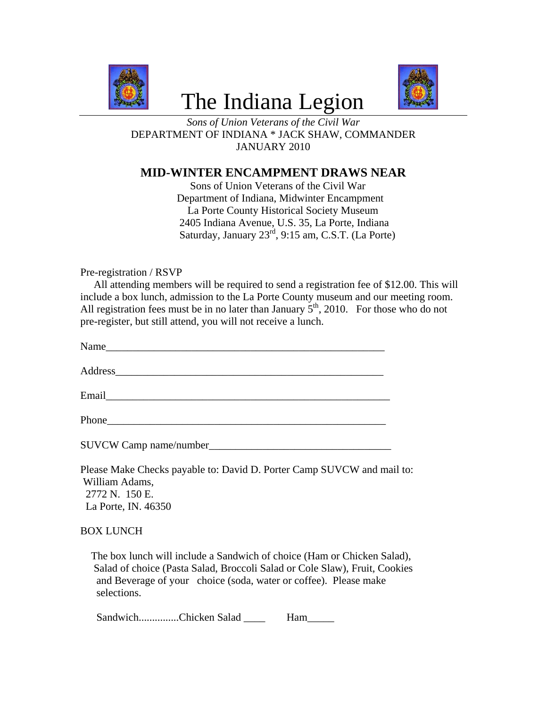

# The Indiana Legion



## *Sons of Union Veterans of the Civil War*  DEPARTMENT OF INDIANA \* JACK SHAW, COMMANDER JANUARY 2010

# **MID-WINTER ENCAMPMENT DRAWS NEAR**

 Sons of Union Veterans of the Civil War Department of Indiana, Midwinter Encampment La Porte County Historical Society Museum 2405 Indiana Avenue, U.S. 35, La Porte, Indiana Saturday, January 23rd, 9:15 am, C.S.T. (La Porte)

Pre-registration / RSVP

 All attending members will be required to send a registration fee of \$12.00. This will include a box lunch, admission to the La Porte County museum and our meeting room. All registration fees must be in no later than January  $5<sup>th</sup>$ , 2010. For those who do not pre-register, but still attend, you will not receive a lunch.

Address\_\_\_\_\_\_\_\_\_\_\_\_\_\_\_\_\_\_\_\_\_\_\_\_\_\_\_\_\_\_\_\_\_\_\_\_\_\_\_\_\_\_\_\_\_\_\_\_\_\_

Email

Phone

SUVCW Camp name/number

Please Make Checks payable to: David D. Porter Camp SUVCW and mail to: William Adams, 2772 N. 150 E. La Porte, IN. 46350

### BOX LUNCH

 The box lunch will include a Sandwich of choice (Ham or Chicken Salad), Salad of choice (Pasta Salad, Broccoli Salad or Cole Slaw), Fruit, Cookies and Beverage of your choice (soda, water or coffee). Please make selections.

Sandwich...............Chicken Salad Ham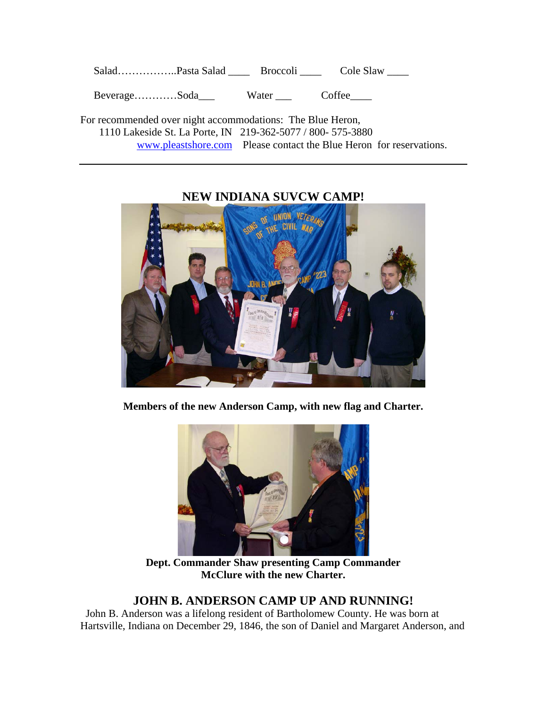Salad………………..Pasta Salad \_\_\_\_\_ Broccoli \_\_\_\_\_ Cole Slaw \_\_\_\_

Beverage…………Soda\_\_\_ Water \_\_\_ Coffee\_\_\_

For recommended over night accommodations: The Blue Heron, 1110 Lakeside St. La Porte, IN 219-362-5077 / 800- 575-3880 www.pleastshore.com Please contact the Blue Heron for reservations.

## **NEW INDIANA SUVCW CAMP!**



**Members of the new Anderson Camp, with new flag and Charter.** 



**Dept. Commander Shaw presenting Camp Commander McClure with the new Charter.** 

# **JOHN B. ANDERSON CAMP UP AND RUNNING!**

 John B. Anderson was a lifelong resident of Bartholomew County. He was born at Hartsville, Indiana on December 29, 1846, the son of Daniel and Margaret Anderson, and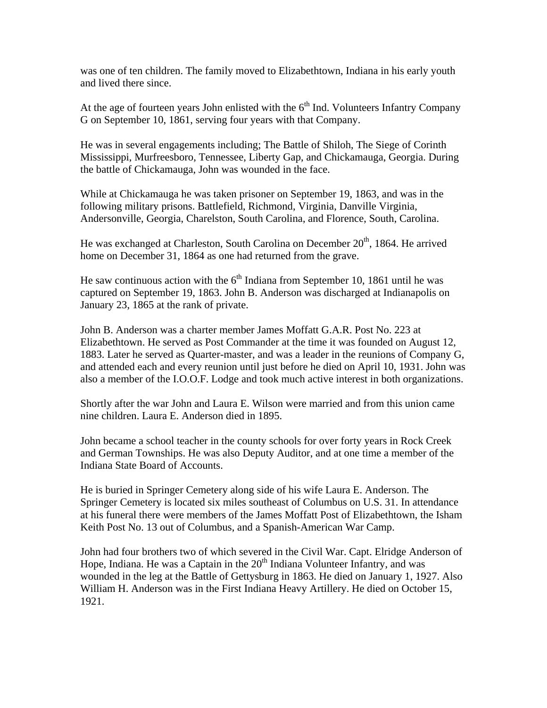was one of ten children. The family moved to Elizabethtown, Indiana in his early youth and lived there since.

At the age of fourteen years John enlisted with the  $6<sup>th</sup>$  Ind. Volunteers Infantry Company G on September 10, 1861, serving four years with that Company.

He was in several engagements including; The Battle of Shiloh, The Siege of Corinth Mississippi, Murfreesboro, Tennessee, Liberty Gap, and Chickamauga, Georgia. During the battle of Chickamauga, John was wounded in the face.

While at Chickamauga he was taken prisoner on September 19, 1863, and was in the following military prisons. Battlefield, Richmond, Virginia, Danville Virginia, Andersonville, Georgia, Charelston, South Carolina, and Florence, South, Carolina.

He was exchanged at Charleston, South Carolina on December  $20<sup>th</sup>$ , 1864. He arrived home on December 31, 1864 as one had returned from the grave.

He saw continuous action with the  $6<sup>th</sup>$  Indiana from September 10, 1861 until he was captured on September 19, 1863. John B. Anderson was discharged at Indianapolis on January 23, 1865 at the rank of private.

John B. Anderson was a charter member James Moffatt G.A.R. Post No. 223 at Elizabethtown. He served as Post Commander at the time it was founded on August 12, 1883. Later he served as Quarter-master, and was a leader in the reunions of Company G, and attended each and every reunion until just before he died on April 10, 1931. John was also a member of the I.O.O.F. Lodge and took much active interest in both organizations.

Shortly after the war John and Laura E. Wilson were married and from this union came nine children. Laura E. Anderson died in 1895.

John became a school teacher in the county schools for over forty years in Rock Creek and German Townships. He was also Deputy Auditor, and at one time a member of the Indiana State Board of Accounts.

He is buried in Springer Cemetery along side of his wife Laura E. Anderson. The Springer Cemetery is located six miles southeast of Columbus on U.S. 31. In attendance at his funeral there were members of the James Moffatt Post of Elizabethtown, the Isham Keith Post No. 13 out of Columbus, and a Spanish-American War Camp.

John had four brothers two of which severed in the Civil War. Capt. Elridge Anderson of Hope, Indiana. He was a Captain in the  $20<sup>th</sup>$  Indiana Volunteer Infantry, and was wounded in the leg at the Battle of Gettysburg in 1863. He died on January 1, 1927. Also William H. Anderson was in the First Indiana Heavy Artillery. He died on October 15, 1921.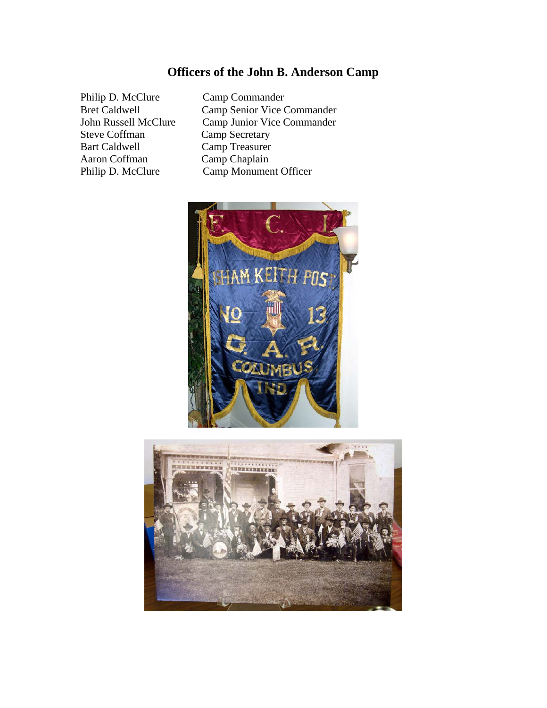# **Officers of the John B. Anderson Camp**

Philip D. McClure Camp Commander Bart Caldwell Camp Treasurer Aaron Coffman Camp Chaplain

Bret Caldwell Camp Senior Vice Commander<br>
John Russell McClure Camp Junior Vice Commander John Russell McClure Camp Junior Vice Commander<br>Steve Coffman Camp Secretary Camp Secretary Philip D. McClure Camp Monument Officer



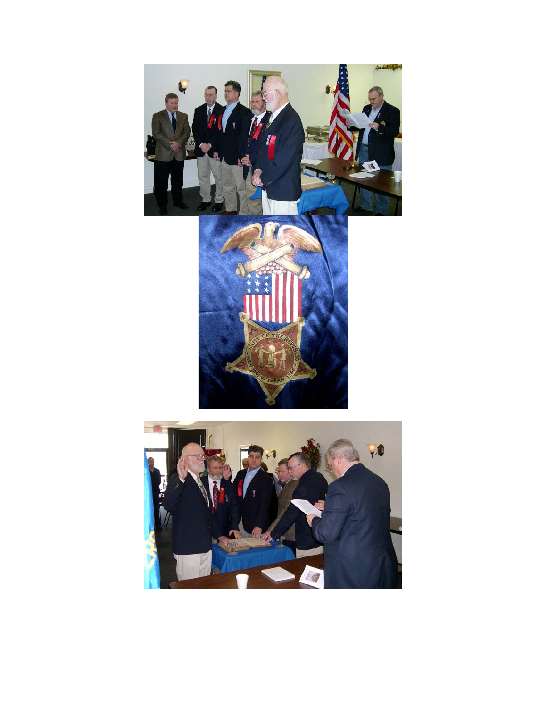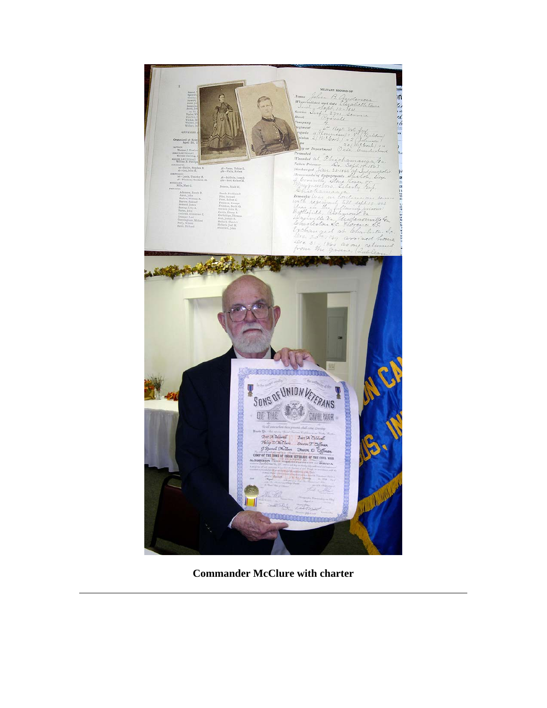

**Commander McClure with charter**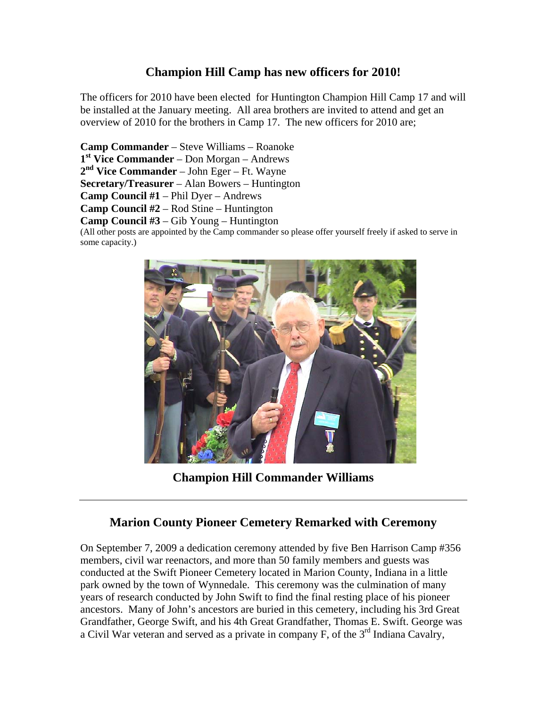# **Champion Hill Camp has new officers for 2010!**

The officers for 2010 have been elected for Huntington Champion Hill Camp 17 and will be installed at the January meeting. All area brothers are invited to attend and get an overview of 2010 for the brothers in Camp 17. The new officers for 2010 are;

**Camp Commander** – Steve Williams – Roanoke **1st Vice Commander** – Don Morgan – Andrews **2nd Vice Commander** – John Eger – Ft. Wayne **Secretary/Treasurer** – Alan Bowers – Huntington **Camp Council #1** – Phil Dyer – Andrews **Camp Council #2** – Rod Stine – Huntington **Camp Council #3** – Gib Young – Huntington (All other posts are appointed by the Camp commander so please offer yourself freely if asked to serve in some capacity.)



**Champion Hill Commander Williams** 

# **Marion County Pioneer Cemetery Remarked with Ceremony**

On September 7, 2009 a dedication ceremony attended by five Ben Harrison Camp #356 members, civil war reenactors, and more than 50 family members and guests was conducted at the Swift Pioneer Cemetery located in Marion County, Indiana in a little park owned by the town of Wynnedale. This ceremony was the culmination of many years of research conducted by John Swift to find the final resting place of his pioneer ancestors. Many of John's ancestors are buried in this cemetery, including his 3rd Great Grandfather, George Swift, and his 4th Great Grandfather, Thomas E. Swift. George was a Civil War veteran and served as a private in company  $F$ , of the  $3<sup>rd</sup>$  Indiana Cavalry,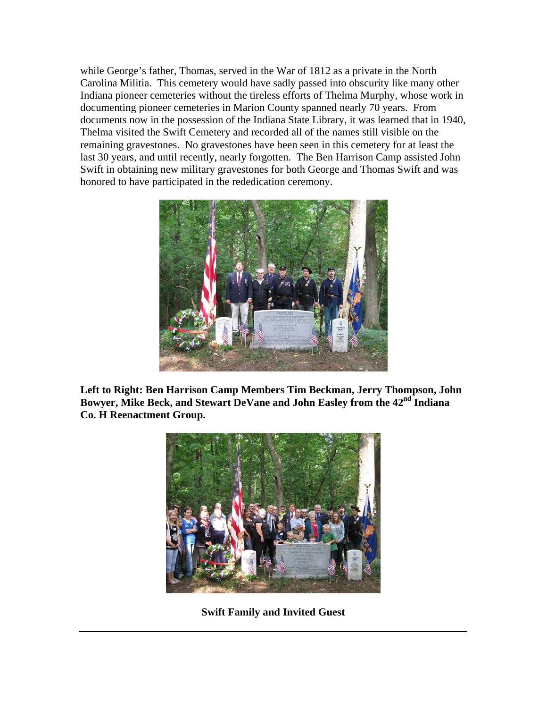while George's father, Thomas, served in the War of 1812 as a private in the North Carolina Militia. This cemetery would have sadly passed into obscurity like many other Indiana pioneer cemeteries without the tireless efforts of Thelma Murphy, whose work in documenting pioneer cemeteries in Marion County spanned nearly 70 years. From documents now in the possession of the Indiana State Library, it was learned that in 1940, Thelma visited the Swift Cemetery and recorded all of the names still visible on the remaining gravestones. No gravestones have been seen in this cemetery for at least the last 30 years, and until recently, nearly forgotten. The Ben Harrison Camp assisted John Swift in obtaining new military gravestones for both George and Thomas Swift and was honored to have participated in the rededication ceremony.



**Left to Right: Ben Harrison Camp Members Tim Beckman, Jerry Thompson, John Bowyer, Mike Beck, and Stewart DeVane and John Easley from the 42nd Indiana Co. H Reenactment Group.** 



**Swift Family and Invited Guest**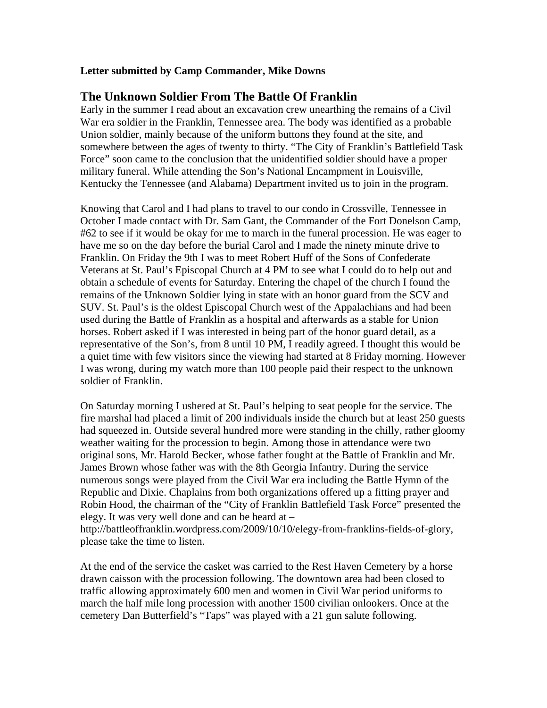### **Letter submitted by Camp Commander, Mike Downs**

## **The Unknown Soldier From The Battle Of Franklin**

Early in the summer I read about an excavation crew unearthing the remains of a Civil War era soldier in the Franklin, Tennessee area. The body was identified as a probable Union soldier, mainly because of the uniform buttons they found at the site, and somewhere between the ages of twenty to thirty. "The City of Franklin's Battlefield Task Force" soon came to the conclusion that the unidentified soldier should have a proper military funeral. While attending the Son's National Encampment in Louisville, Kentucky the Tennessee (and Alabama) Department invited us to join in the program.

Knowing that Carol and I had plans to travel to our condo in Crossville, Tennessee in October I made contact with Dr. Sam Gant, the Commander of the Fort Donelson Camp, #62 to see if it would be okay for me to march in the funeral procession. He was eager to have me so on the day before the burial Carol and I made the ninety minute drive to Franklin. On Friday the 9th I was to meet Robert Huff of the Sons of Confederate Veterans at St. Paul's Episcopal Church at 4 PM to see what I could do to help out and obtain a schedule of events for Saturday. Entering the chapel of the church I found the remains of the Unknown Soldier lying in state with an honor guard from the SCV and SUV. St. Paul's is the oldest Episcopal Church west of the Appalachians and had been used during the Battle of Franklin as a hospital and afterwards as a stable for Union horses. Robert asked if I was interested in being part of the honor guard detail, as a representative of the Son's, from 8 until 10 PM, I readily agreed. I thought this would be a quiet time with few visitors since the viewing had started at 8 Friday morning. However I was wrong, during my watch more than 100 people paid their respect to the unknown soldier of Franklin.

On Saturday morning I ushered at St. Paul's helping to seat people for the service. The fire marshal had placed a limit of 200 individuals inside the church but at least 250 guests had squeezed in. Outside several hundred more were standing in the chilly, rather gloomy weather waiting for the procession to begin. Among those in attendance were two original sons, Mr. Harold Becker, whose father fought at the Battle of Franklin and Mr. James Brown whose father was with the 8th Georgia Infantry. During the service numerous songs were played from the Civil War era including the Battle Hymn of the Republic and Dixie. Chaplains from both organizations offered up a fitting prayer and Robin Hood, the chairman of the "City of Franklin Battlefield Task Force" presented the elegy. It was very well done and can be heard at –

http://battleoffranklin.wordpress.com/2009/10/10/elegy-from-franklins-fields-of-glory, please take the time to listen.

At the end of the service the casket was carried to the Rest Haven Cemetery by a horse drawn caisson with the procession following. The downtown area had been closed to traffic allowing approximately 600 men and women in Civil War period uniforms to march the half mile long procession with another 1500 civilian onlookers. Once at the cemetery Dan Butterfield's "Taps" was played with a 21 gun salute following.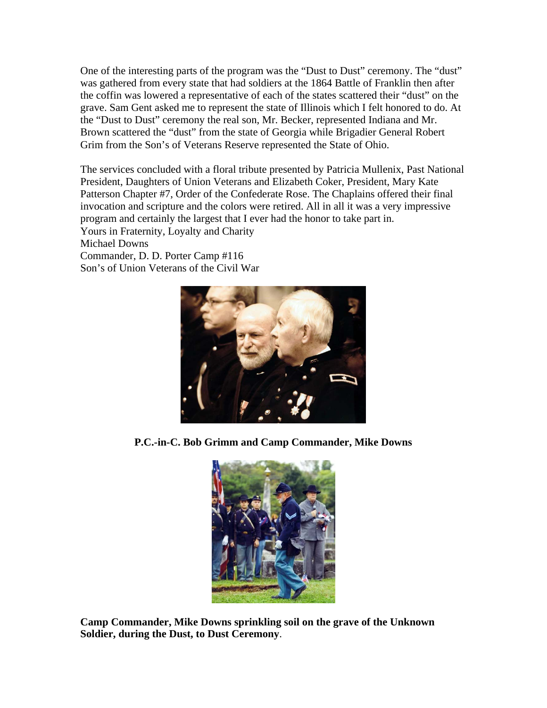One of the interesting parts of the program was the "Dust to Dust" ceremony. The "dust" was gathered from every state that had soldiers at the 1864 Battle of Franklin then after the coffin was lowered a representative of each of the states scattered their "dust" on the grave. Sam Gent asked me to represent the state of Illinois which I felt honored to do. At the "Dust to Dust" ceremony the real son, Mr. Becker, represented Indiana and Mr. Brown scattered the "dust" from the state of Georgia while Brigadier General Robert Grim from the Son's of Veterans Reserve represented the State of Ohio.

The services concluded with a floral tribute presented by Patricia Mullenix, Past National President, Daughters of Union Veterans and Elizabeth Coker, President, Mary Kate Patterson Chapter #7, Order of the Confederate Rose. The Chaplains offered their final invocation and scripture and the colors were retired. All in all it was a very impressive program and certainly the largest that I ever had the honor to take part in. Yours in Fraternity, Loyalty and Charity Michael Downs Commander, D. D. Porter Camp #116 Son's of Union Veterans of the Civil War



**P.C.-in-C. Bob Grimm and Camp Commander, Mike Downs** 



**Camp Commander, Mike Downs sprinkling soil on the grave of the Unknown Soldier, during the Dust, to Dust Ceremony**.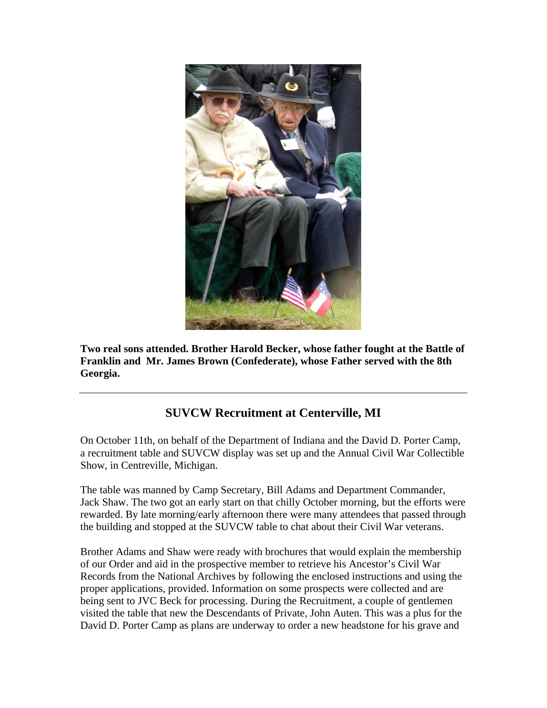

**Two real sons attended. Brother Harold Becker, whose father fought at the Battle of Franklin and Mr. James Brown (Confederate), whose Father served with the 8th Georgia.** 

# **SUVCW Recruitment at Centerville, MI**

On October 11th, on behalf of the Department of Indiana and the David D. Porter Camp, a recruitment table and SUVCW display was set up and the Annual Civil War Collectible Show, in Centreville, Michigan.

The table was manned by Camp Secretary, Bill Adams and Department Commander, Jack Shaw. The two got an early start on that chilly October morning, but the efforts were rewarded. By late morning/early afternoon there were many attendees that passed through the building and stopped at the SUVCW table to chat about their Civil War veterans.

Brother Adams and Shaw were ready with brochures that would explain the membership of our Order and aid in the prospective member to retrieve his Ancestor's Civil War Records from the National Archives by following the enclosed instructions and using the proper applications, provided. Information on some prospects were collected and are being sent to JVC Beck for processing. During the Recruitment, a couple of gentlemen visited the table that new the Descendants of Private, John Auten. This was a plus for the David D. Porter Camp as plans are underway to order a new headstone for his grave and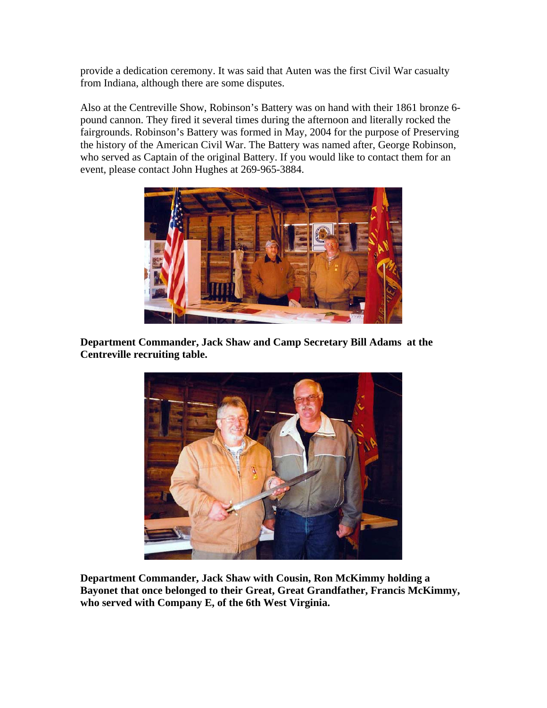provide a dedication ceremony. It was said that Auten was the first Civil War casualty from Indiana, although there are some disputes.

Also at the Centreville Show, Robinson's Battery was on hand with their 1861 bronze 6 pound cannon. They fired it several times during the afternoon and literally rocked the fairgrounds. Robinson's Battery was formed in May, 2004 for the purpose of Preserving the history of the American Civil War. The Battery was named after, George Robinson, who served as Captain of the original Battery. If you would like to contact them for an event, please contact John Hughes at 269-965-3884.



**Department Commander, Jack Shaw and Camp Secretary Bill Adams at the Centreville recruiting table.** 



**Department Commander, Jack Shaw with Cousin, Ron McKimmy holding a Bayonet that once belonged to their Great, Great Grandfather, Francis McKimmy, who served with Company E, of the 6th West Virginia.**